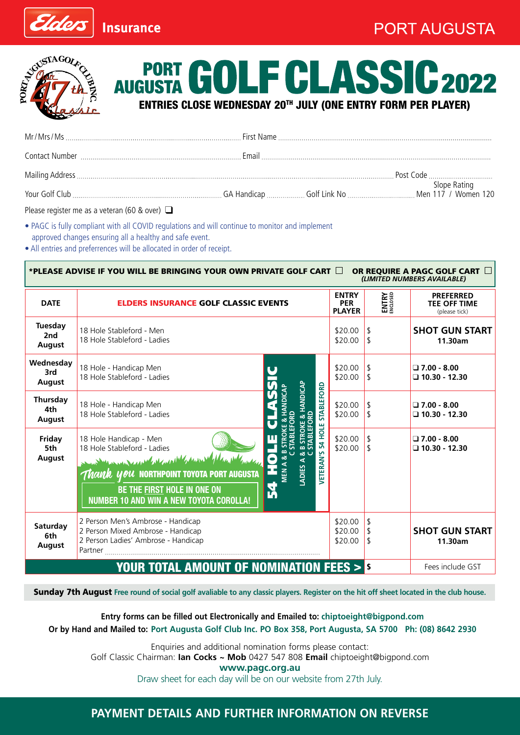

**Insurance** 



Elders

2022 **ENTRY AUGUSTA GOLF CLASSIC 201** 

|  | Post Code |
|--|-----------|
|  |           |

Please register me as a veteran (60 & over) ❑

• PAGC is fully compliant with all COVID regulations and will continue to monitor and implement approved changes ensuring all a healthy and safe event.

• All entries and preferrences will be allocated in order of receipt.

| *PLEASE ADVISE IF YOU WILL BE BRINGING YOUR OWN PRIVATE GOLF CART LATE<br>OR REQUIRE A PAGC GOLF CART I<br>(LIMITED NUMBERS AVAILABLE) |                                                                                                                                                                                                                                                                                                                                                                                                                                                                                          |                               |                                  |                                                          |
|----------------------------------------------------------------------------------------------------------------------------------------|------------------------------------------------------------------------------------------------------------------------------------------------------------------------------------------------------------------------------------------------------------------------------------------------------------------------------------------------------------------------------------------------------------------------------------------------------------------------------------------|-------------------------------|----------------------------------|----------------------------------------------------------|
| <b>DATE</b>                                                                                                                            | <b>ENTRY</b><br><b>ELDERS INSURANCE GOLF CLASSIC EVENTS</b><br><b>PLAYER</b>                                                                                                                                                                                                                                                                                                                                                                                                             |                               | ENTRY<br>ENCLOSED                | <b>PREFERRED</b><br><b>TEE OFF TIME</b><br>(please tick) |
| <b>Tuesday</b><br>2nd<br>August                                                                                                        | 18 Hole Stableford - Men<br>18 Hole Stableford - Ladies                                                                                                                                                                                                                                                                                                                                                                                                                                  | \$20.00<br>\$20.00            | $\vert$ \$<br>  \$               | <b>SHOT GUN START</b><br>11.30am                         |
| Wednesday<br>3rd<br><b>August</b>                                                                                                      | 18 Hole - Handicap Men<br>18 Hole Stableford - Ladies                                                                                                                                                                                                                                                                                                                                                                                                                                    | \$20.00<br>\$20.00            | l \$<br>$\vert$ \$               | $\Box$ 7.00 - 8.00<br>$\Box$ 10.30 - 12.30               |
| Thursday<br>4th<br>August                                                                                                              | HANDICAP<br><b>STABLEFORD</b><br><b>RDICAP</b><br>18 Hole - Handicap Men<br>18 Hole Stableford - Ladies                                                                                                                                                                                                                                                                                                                                                                                  | \$20.00<br>\$20.00            | 1 \$                             | $\Box$ 7.00 - 8.00<br>$\Box$ 10.30 - 12.30               |
| Friday<br>5th<br><b>August</b>                                                                                                         | VETERAN'S 54 HOLE<br>18 Hole Handicap - Men<br>$\frac{1}{2}$<br>18 Hole Stableford - Ladies<br>month the more of the search of the search of the search of the search of the search of the search of the search of the search of the search of the search of the search of the search of the search of the search of the sear<br>ಹ<br>ADIES A<br>MEN A<br><i>Thank you</i> northpoint toyota port augusta<br>R<br>BE THE FIRST HOLE IN ONE ON<br>NUMBER 10 AND WIN A NEW TOYOTA COROLLA! | \$20.00<br>\$20.00            | $\mathfrak{L}$<br>  \$           | $\square$ 7.00 - 8.00<br>$\Box$ 10.30 - 12.30            |
| Saturday<br>6th<br>August                                                                                                              | 2 Person Men's Ambrose - Handicap<br>2 Person Mixed Ambrose - Handicap<br>2 Person Ladies' Ambrose - Handicap<br>Partner                                                                                                                                                                                                                                                                                                                                                                 | \$20.00<br>\$20.00<br>\$20.00 | $\vert$ s<br><sup>\$</sup><br>\$ | <b>SHOT GUN START</b><br>11.30am                         |
|                                                                                                                                        | <b>YOUR TOTAL AMOUNT OF NOMINATION FEES &gt; S</b>                                                                                                                                                                                                                                                                                                                                                                                                                                       |                               |                                  | Fees include GST                                         |

Sunday 7th August **Free round of social golf avaliable to any classic players. Register on the hit off sheet located in the club house.**

**Entry forms can be filled out Electronically and Emailed to: chiptoeight@bigpond.com Or by Hand and Mailed to: Port Augusta Golf Club Inc. PO Box 358, Port Augusta, SA 5700 Ph: (08) 8642 2930**

Enquiries and additional nomination forms please contact: Golf Classic Chairman: **Ian Cocks ~ Mob** 0427 547 808 **Email** chiptoeight@bigpond.com **www.pagc.org.au** Draw sheet for each day will be on our website from 27th July.

#### **PAYMENT DETAILS AND FURTHER INFORMATION ON REVERSE**